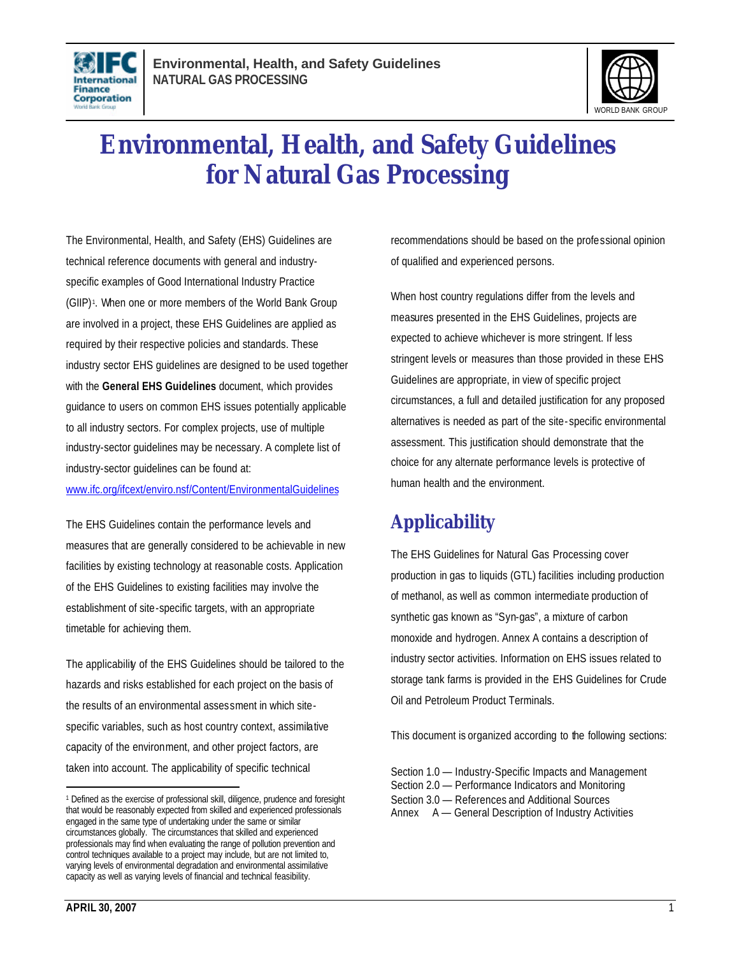



# **Environmental, Health, and Safety Guidelines for Natural Gas Processing**

The Environmental, Health, and Safety (EHS) Guidelines are technical reference documents with general and industryspecific examples of Good International Industry Practice (GIIP)<sup>1</sup>. When one or more members of the World Bank Group are involved in a project, these EHS Guidelines are applied as required by their respective policies and standards. These industry sector EHS guidelines are designed to be used together with the **General EHS Guidelines** document, which provides guidance to users on common EHS issues potentially applicable to all industry sectors. For complex projects, use of multiple industry-sector guidelines may be necessary. A complete list of industry-sector guidelines can be found at:

www.ifc.org/ifcext/enviro.nsf/Content/EnvironmentalGuidelines

The EHS Guidelines contain the performance levels and measures that are generally considered to be achievable in new facilities by existing technology at reasonable costs. Application of the EHS Guidelines to existing facilities may involve the establishment of site-specific targets, with an appropriate timetable for achieving them.

The applicability of the EHS Guidelines should be tailored to the hazards and risks established for each project on the basis of the results of an environmental assessment in which sitespecific variables, such as host country context, assimilative capacity of the environment, and other project factors, are taken into account. The applicability of specific technical

recommendations should be based on the professional opinion of qualified and experienced persons.

When host country regulations differ from the levels and measures presented in the EHS Guidelines, projects are expected to achieve whichever is more stringent. If less stringent levels or measures than those provided in these EHS Guidelines are appropriate, in view of specific project circumstances, a full and detailed justification for any proposed alternatives is needed as part of the site- specific environmental assessment. This justification should demonstrate that the choice for any alternate performance levels is protective of human health and the environment.

# **Applicability**

The EHS Guidelines for Natural Gas Processing cover production in gas to liquids (GTL) facilities including production of methanol, as well as common intermediate production of synthetic gas known as "Syn-gas", a mixture of carbon monoxide and hydrogen. Annex A contains a description of industry sector activities. Information on EHS issues related to storage tank farms is provided in the EHS Guidelines for Crude Oil and Petroleum Product Terminals.

This document is organized according to the following sections:

Section 1.0 — Industry-Specific Impacts and Management Section 2.0 — Performance Indicators and Monitoring Section 3.0 — References and Additional Sources Annex A — General Description of Industry Activities

<sup>&</sup>lt;sup>1</sup> Defined as the exercise of professional skill, diligence, prudence and foresight that would be reasonably expected from skilled and experienced professionals engaged in the same type of undertaking under the same or similar circumstances globally. The circumstances that skilled and experienced professionals may find when evaluating the range of pollution prevention and control techniques available to a project may include, but are not limited to, varying levels of environmental degradation and environmental assimilative capacity as well as varying levels of financial and technical feasibility.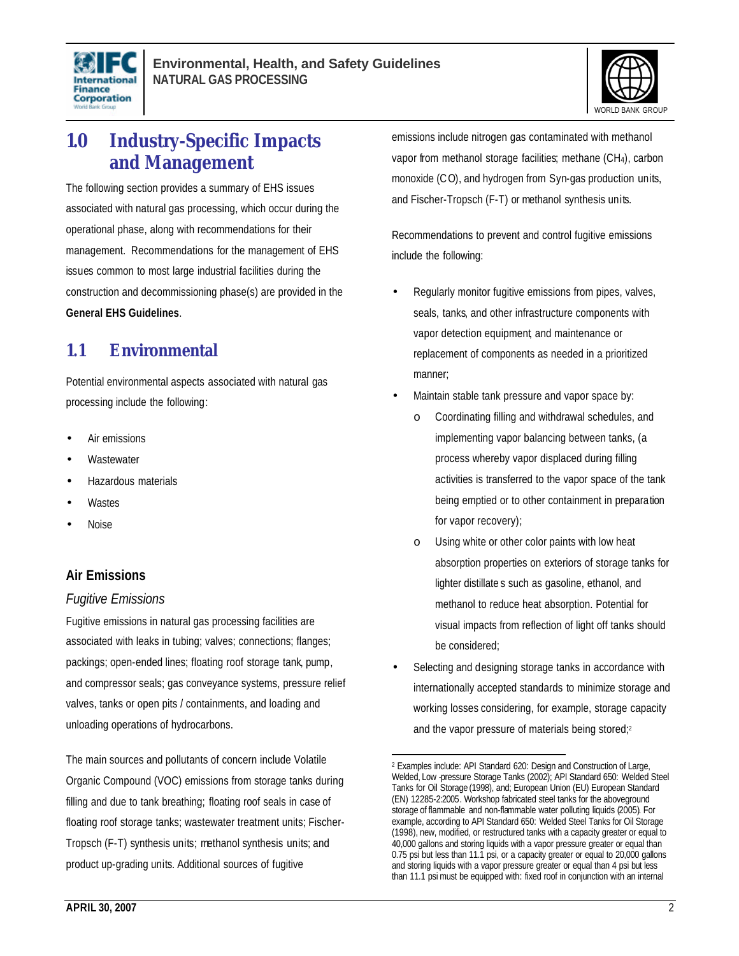



# **1.0 Industry-Specific Impacts and Management**

The following section provides a summary of EHS issues associated with natural gas processing, which occur during the operational phase, along with recommendations for their management. Recommendations for the management of EHS issues common to most large industrial facilities during the construction and decommissioning phase(s) are provided in the **General EHS Guidelines**.

# **1.1 Environmental**

Potential environmental aspects associated with natural gas processing include the following:

- Air emissions
- **Wastewater**
- Hazardous materials
- **Wastes**
- Noise

# **Air Emissions**

### *Fugitive Emissions*

Fugitive emissions in natural gas processing facilities are associated with leaks in tubing; valves; connections; flanges; packings; open-ended lines; floating roof storage tank, pump, and compressor seals; gas conveyance systems, pressure relief valves, tanks or open pits / containments, and loading and unloading operations of hydrocarbons.

The main sources and pollutants of concern include Volatile Organic Compound (VOC) emissions from storage tanks during filling and due to tank breathing; floating roof seals in case of floating roof storage tanks; wastewater treatment units; Fischer-Tropsch (F-T) synthesis units; methanol synthesis units; and product up-grading units. Additional sources of fugitive

emissions include nitrogen gas contaminated with methanol vapor from methanol storage facilities; methane (CH4), carbon monoxide (C O), and hydrogen from Syn-gas production units, and Fischer-Tropsch (F-T) or methanol synthesis units.

Recommendations to prevent and control fugitive emissions include the following:

- Regularly monitor fugitive emissions from pipes, valves, seals, tanks, and other infrastructure components with vapor detection equipment, and maintenance or replacement of components as needed in a prioritized manner;
- Maintain stable tank pressure and vapor space by:
	- Coordinating filling and withdrawal schedules, and implementing vapor balancing between tanks, (a process whereby vapor displaced during filling activities is transferred to the vapor space of the tank being emptied or to other containment in preparation for vapor recovery);
	- o Using white or other color paints with low heat absorption properties on exteriors of storage tanks for lighter distillate s such as gasoline, ethanol, and methanol to reduce heat absorption. Potential for visual impacts from reflection of light off tanks should be considered;
- Selecting and designing storage tanks in accordance with internationally accepted standards to minimize storage and working losses considering, for example, storage capacity and the vapor pressure of materials being stored; 2

 2 Examples include: API Standard 620: Design and Construction of Large, Welded, Low -pressure Storage Tanks (2002); API Standard 650: Welded Steel Tanks for Oil Storage (1998), and; European Union (EU) European Standard (EN) 12285-2:2005. Workshop fabricated steel tanks for the aboveground storage of flammable and non-flammable water polluting liquids (2005). For example, according to API Standard 650: Welded Steel Tanks for Oil Storage (1998), new, modified, or restructured tanks with a capacity greater or equal to 40,000 gallons and storing liquids with a vapor pressure greater or equal than 0.75 psi but less than 11.1 psi, or a capacity greater or equal to 20,000 gallons and storing liquids with a vapor pressure greater or equal than 4 psi but less than 11.1 psi must be equipped with: fixed roof in conjunction with an internal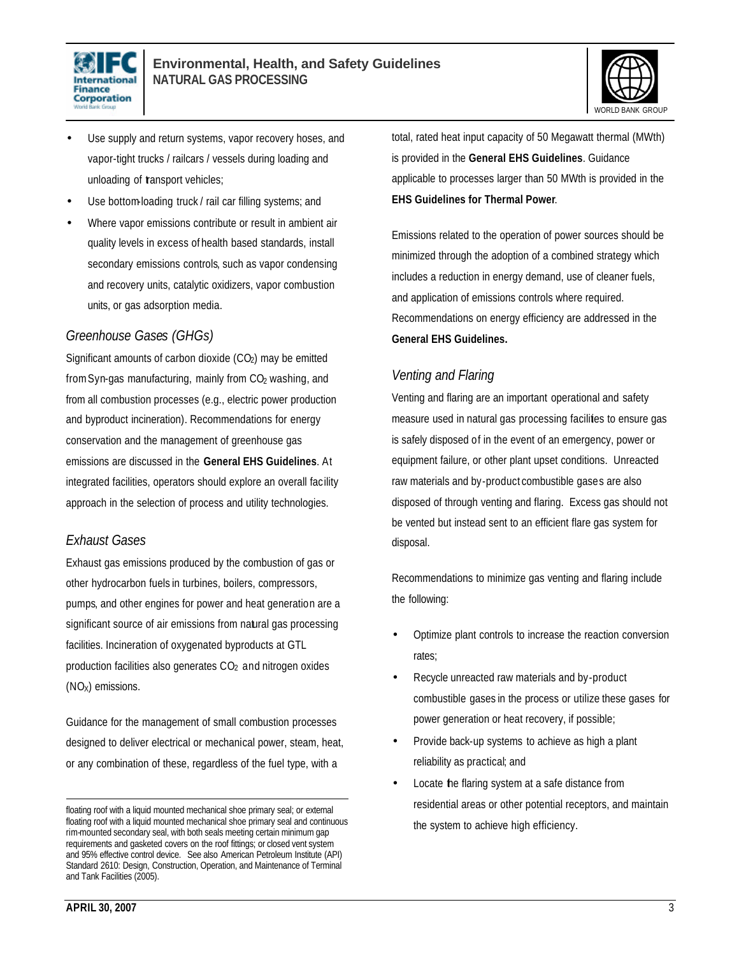



- Use supply and return systems, vapor recovery hoses, and vapor-tight trucks / railcars / vessels during loading and unloading of transport vehicles;
- Use bottom-loading truck / rail car filling systems; and
- Where vapor emissions contribute or result in ambient air quality levels in excess of health based standards, install secondary emissions controls, such as vapor condensing and recovery units, catalytic oxidizers, vapor combustion units, or gas adsorption media.

## *Greenhouse Gases (GHGs)*

Significant amounts of carbon dioxide  $(CO<sub>2</sub>)$  may be emitted from Syn-gas manufacturing, mainly from CO<sub>2</sub> washing, and from all combustion processes (e.g., electric power production and byproduct incineration). Recommendations for energy conservation and the management of greenhouse gas emissions are discussed in the **General EHS Guidelines**. At integrated facilities, operators should explore an overall facility approach in the selection of process and utility technologies.

### *Exhaust Gases*

Exhaust gas emissions produced by the combustion of gas or other hydrocarbon fuels in turbines, boilers, compressors, pumps, and other engines for power and heat generation are a significant source of air emissions from natural gas processing facilities. Incineration of oxygenated byproducts at GTL production facilities also generates  $CO<sub>2</sub>$  and nitrogen oxides  $(NO<sub>X</sub>)$  emissions.

Guidance for the management of small combustion processes designed to deliver electrical or mechanical power, steam, heat, or any combination of these, regardless of the fuel type, with a

total, rated heat input capacity of 50 Megawatt thermal (MWth) is provided in the **General EHS Guidelines**. Guidance applicable to processes larger than 50 MWth is provided in the **EHS Guidelines for Thermal Power**.

Emissions related to the operation of power sources should be minimized through the adoption of a combined strategy which includes a reduction in energy demand, use of cleaner fuels, and application of emissions controls where required. Recommendations on energy efficiency are addressed in the **General EHS Guidelines.**

## *Venting and Flaring*

Venting and flaring are an important operational and safety measure used in natural gas processing facilities to ensure gas is safely disposed of in the event of an emergency, power or equipment failure, or other plant upset conditions. Unreacted raw materials and by-product combustible gases are also disposed of through venting and flaring. Excess gas should not be vented but instead sent to an efficient flare gas system for disposal.

Recommendations to minimize gas venting and flaring include the following:

- Optimize plant controls to increase the reaction conversion rates;
- Recycle unreacted raw materials and by-product combustible gases in the process or utilize these gases for power generation or heat recovery, if possible;
- Provide back-up systems to achieve as high a plant reliability as practical; and
- Locate the flaring system at a safe distance from residential areas or other potential receptors, and maintain the system to achieve high efficiency.

 $\overline{a}$ floating roof with a liquid mounted mechanical shoe primary seal; or external floating roof with a liquid mounted mechanical shoe primary seal and continuous rim-mounted secondary seal, with both seals meeting certain minimum gap requirements and gasketed covers on the roof fittings; or closed vent system and 95% effective control device. See also American Petroleum Institute (API) Standard 2610: Design, Construction, Operation, and Maintenance of Terminal and Tank Facilities (2005).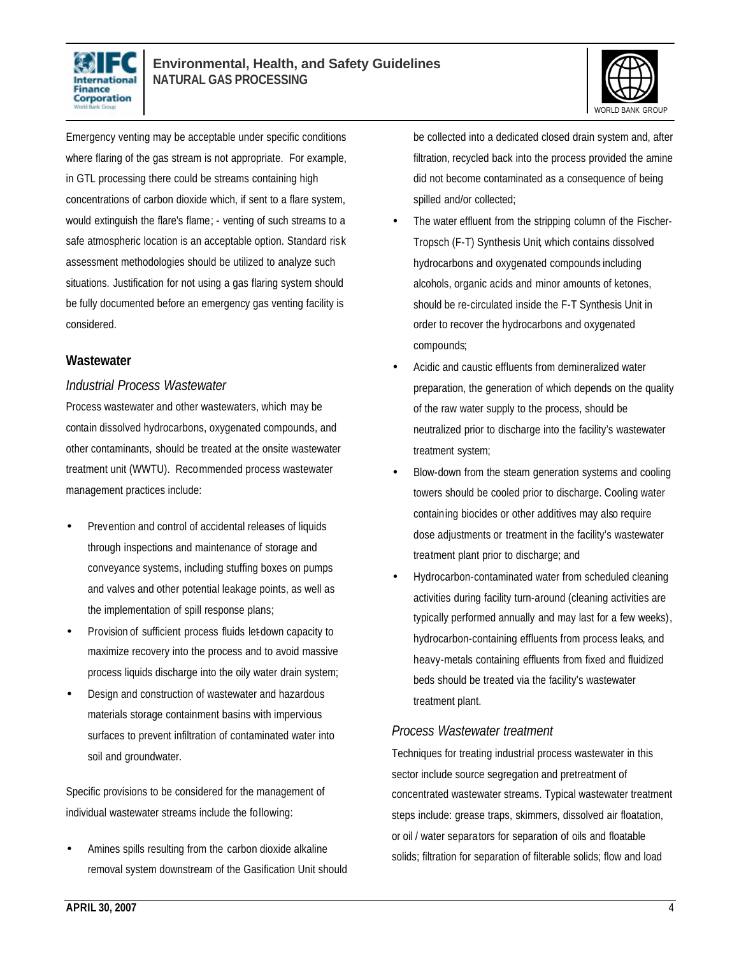



Emergency venting may be acceptable under specific conditions where flaring of the gas stream is not appropriate. For example, in GTL processing there could be streams containing high concentrations of carbon dioxide which, if sent to a flare system, would extinguish the flare's flame; - venting of such streams to a safe atmospheric location is an acceptable option. Standard risk assessment methodologies should be utilized to analyze such situations. Justification for not using a gas flaring system should be fully documented before an emergency gas venting facility is considered.

### **Wastewater**

### *Industrial Process Wastewater*

Process wastewater and other wastewaters, which may be contain dissolved hydrocarbons, oxygenated compounds, and other contaminants, should be treated at the onsite wastewater treatment unit (WWTU). Recommended process wastewater management practices include:

- Prevention and control of accidental releases of liquids through inspections and maintenance of storage and conveyance systems, including stuffing boxes on pumps and valves and other potential leakage points, as well as the implementation of spill response plans;
- Provision of sufficient process fluids let-down capacity to maximize recovery into the process and to avoid massive process liquids discharge into the oily water drain system;
- Design and construction of wastewater and hazardous materials storage containment basins with impervious surfaces to prevent infiltration of contaminated water into soil and groundwater.

Specific provisions to be considered for the management of individual wastewater streams include the following:

• Amines spills resulting from the carbon dioxide alkaline removal system downstream of the Gasification Unit should be collected into a dedicated closed drain system and, after filtration, recycled back into the process provided the amine did not become contaminated as a consequence of being spilled and/or collected;

- The water effluent from the stripping column of the Fischer-Tropsch (F-T) Synthesis Unit, which contains dissolved hydrocarbons and oxygenated compounds including alcohols, organic acids and minor amounts of ketones, should be re-circulated inside the F-T Synthesis Unit in order to recover the hydrocarbons and oxygenated compounds;
- Acidic and caustic effluents from demineralized water preparation, the generation of which depends on the quality of the raw water supply to the process, should be neutralized prior to discharge into the facility's wastewater treatment system;
- Blow-down from the steam generation systems and cooling towers should be cooled prior to discharge. Cooling water containing biocides or other additives may also require dose adjustments or treatment in the facility's wastewater treatment plant prior to discharge; and
- Hydrocarbon-contaminated water from scheduled cleaning activities during facility turn-around (cleaning activities are typically performed annually and may last for a few weeks), hydrocarbon-containing effluents from process leaks, and heavy-metals containing effluents from fixed and fluidized beds should be treated via the facility's wastewater treatment plant.

### *Process Wastewater treatment*

Techniques for treating industrial process wastewater in this sector include source segregation and pretreatment of concentrated wastewater streams. Typical wastewater treatment steps include: grease traps, skimmers, dissolved air floatation, or oil / water separators for separation of oils and floatable solids; filtration for separation of filterable solids; flow and load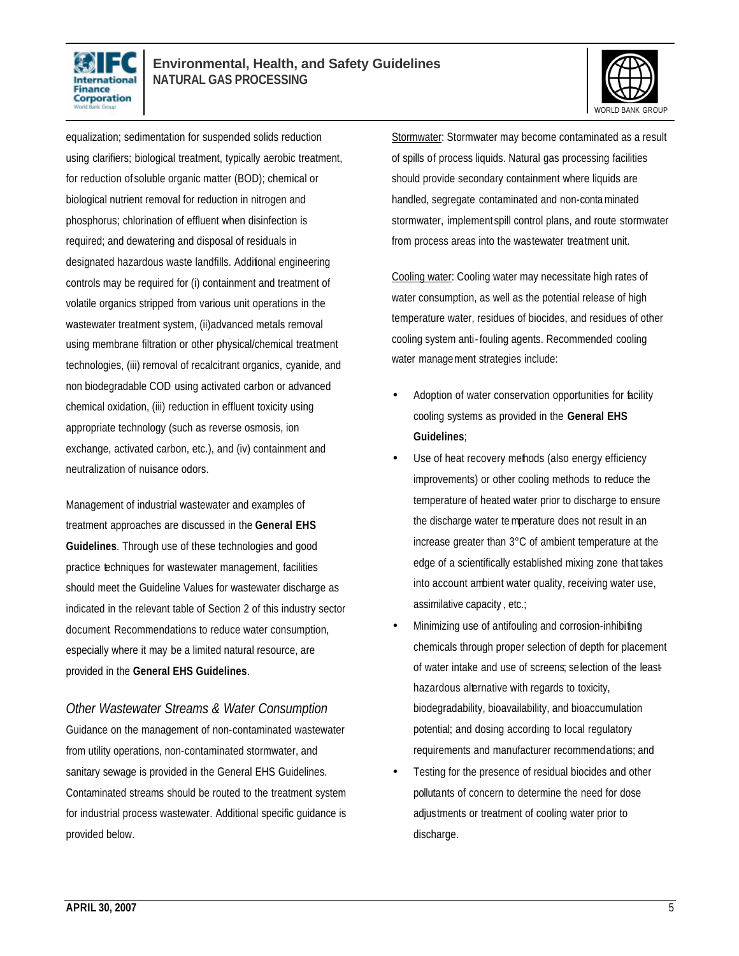



equalization; sedimentation for suspended solids reduction using clarifiers; biological treatment, typically aerobic treatment, for reduction of soluble organic matter (BOD); chemical or biological nutrient removal for reduction in nitrogen and phosphorus; chlorination of effluent when disinfection is required; and dewatering and disposal of residuals in designated hazardous waste landfills. Additional engineering controls may be required for (i) containment and treatment of volatile organics stripped from various unit operations in the wastewater treatment system, (ii)advanced metals removal using membrane filtration or other physical/chemical treatment technologies, (iii) removal of recalcitrant organics, cyanide, and non biodegradable COD using activated carbon or advanced chemical oxidation, (iii) reduction in effluent toxicity using appropriate technology (such as reverse osmosis, ion exchange, activated carbon, etc.), and (iv) containment and neutralization of nuisance odors.

Management of industrial wastewater and examples of treatment approaches are discussed in the **General EHS Guidelines**. Through use of these technologies and good practice techniques for wastewater management, facilities should meet the Guideline Values for wastewater discharge as indicated in the relevant table of Section 2 of this industry sector document. Recommendations to reduce water consumption, especially where it may be a limited natural resource, are provided in the **General EHS Guidelines**.

*Other Wastewater Streams & Water Consumption* Guidance on the management of non-contaminated wastewater from utility operations, non-contaminated stormwater, and sanitary sewage is provided in the General EHS Guidelines. Contaminated streams should be routed to the treatment system for industrial process wastewater. Additional specific guidance is provided below.

Stormwater: Stormwater may become contaminated as a result of spills of process liquids. Natural gas processing facilities should provide secondary containment where liquids are handled, segregate contaminated and non-contaminated stormwater, implementspill control plans, and route stormwater from process areas into the wastewater treatment unit.

Cooling water: Cooling water may necessitate high rates of water consumption, as well as the potential release of high temperature water, residues of biocides, and residues of other cooling system anti-fouling agents. Recommended cooling water management strategies include:

- Adoption of water conservation opportunities for facility cooling systems as provided in the **General EHS Guidelines**;
- Use of heat recovery methods (also energy efficiency improvements) or other cooling methods to reduce the temperature of heated water prior to discharge to ensure the discharge water temperature does not result in an increase greater than 3°C of ambient temperature at the edge of a scientifically established mixing zone that takes into account ambient water quality, receiving water use, assimilative capacity , etc.;
- Minimizing use of antifouling and corrosion-inhibiting chemicals through proper selection of depth for placement of water intake and use of screens; selection of the leasthazardous alternative with regards to toxicity, biodegradability, bioavailability, and bioaccumulation potential; and dosing according to local regulatory requirements and manufacturer recommendations; and
- Testing for the presence of residual biocides and other pollutants of concern to determine the need for dose adjustments or treatment of cooling water prior to discharge.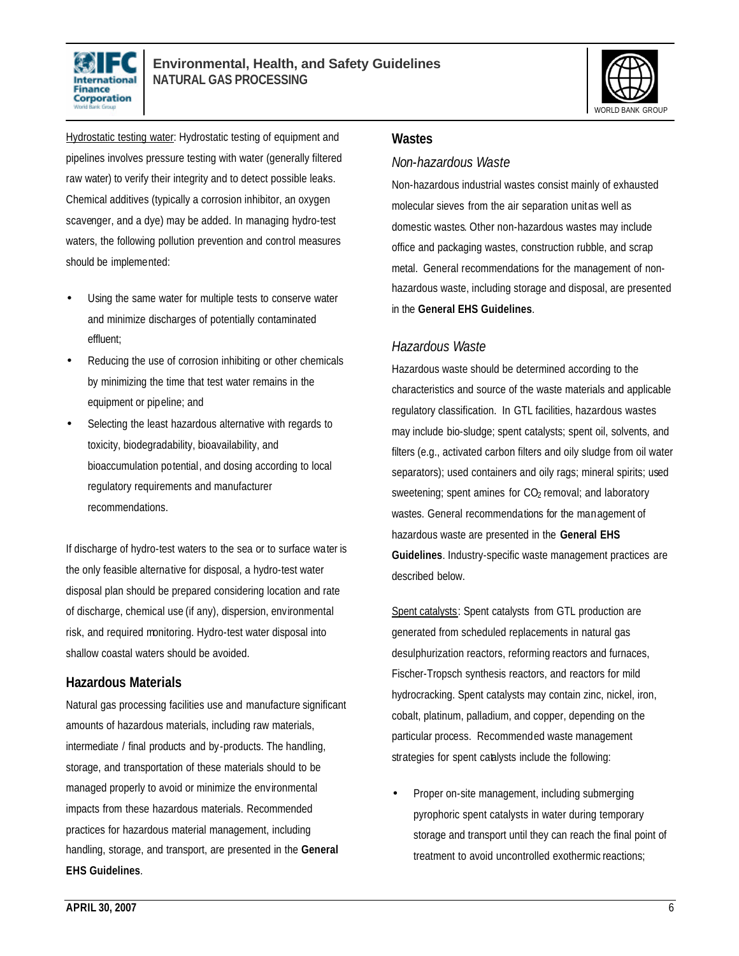



Hydrostatic testing water: Hydrostatic testing of equipment and pipelines involves pressure testing with water (generally filtered raw water) to verify their integrity and to detect possible leaks. Chemical additives (typically a corrosion inhibitor, an oxygen scavenger, and a dye) may be added. In managing hydro-test waters, the following pollution prevention and control measures should be implemented:

- Using the same water for multiple tests to conserve water and minimize discharges of potentially contaminated effluent;
- Reducing the use of corrosion inhibiting or other chemicals by minimizing the time that test water remains in the equipment or pipeline; and
- Selecting the least hazardous alternative with regards to toxicity, biodegradability, bioavailability, and bioaccumulation potential, and dosing according to local regulatory requirements and manufacturer recommendations.

If discharge of hydro-test waters to the sea or to surface water is the only feasible alternative for disposal, a hydro-test water disposal plan should be prepared considering location and rate of discharge, chemical use (if any), dispersion, environmental risk, and required monitoring. Hydro-test water disposal into shallow coastal waters should be avoided.

### **Hazardous Materials**

Natural gas processing facilities use and manufacture significant amounts of hazardous materials, including raw materials, intermediate / final products and by-products. The handling, storage, and transportation of these materials should to be managed properly to avoid or minimize the environmental impacts from these hazardous materials. Recommended practices for hazardous material management, including handling, storage, and transport, are presented in the **General EHS Guidelines**.

#### **Wastes**

### *Non-hazardous Waste*

Non-hazardous industrial wastes consist mainly of exhausted molecular sieves from the air separation unit as well as domestic wastes. Other non-hazardous wastes may include office and packaging wastes, construction rubble, and scrap metal. General recommendations for the management of nonhazardous waste, including storage and disposal, are presented in the **General EHS Guidelines**.

### *Hazardous Waste*

Hazardous waste should be determined according to the characteristics and source of the waste materials and applicable regulatory classification. In GTL facilities, hazardous wastes may include bio-sludge; spent catalysts; spent oil, solvents, and filters (e.g., activated carbon filters and oily sludge from oil water separators); used containers and oily rags; mineral spirits; used sweetening; spent amines for  $CO<sub>2</sub>$  removal; and laboratory wastes. General recommendations for the management of hazardous waste are presented in the **General EHS Guidelines**. Industry-specific waste management practices are described below.

Spent catalysts: Spent catalysts from GTL production are generated from scheduled replacements in natural gas desulphurization reactors, reforming reactors and furnaces, Fischer-Tropsch synthesis reactors, and reactors for mild hydrocracking. Spent catalysts may contain zinc, nickel, iron, cobalt, platinum, palladium, and copper, depending on the particular process. Recommended waste management strategies for spent catalysts include the following:

• Proper on-site management, including submerging pyrophoric spent catalysts in water during temporary storage and transport until they can reach the final point of treatment to avoid uncontrolled exothermic reactions;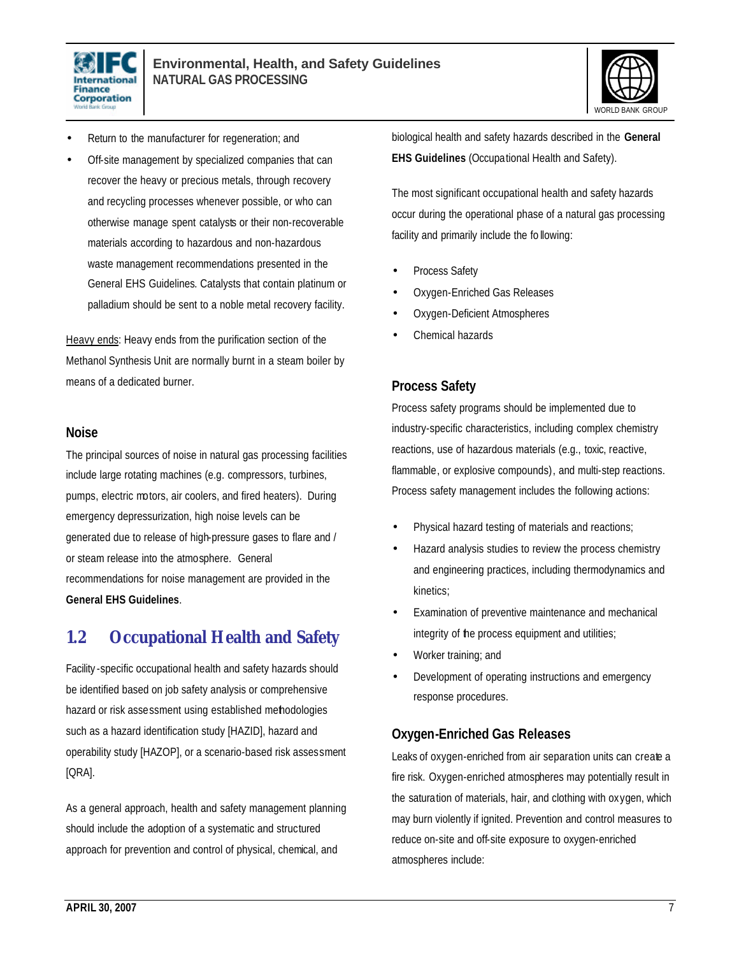



- Return to the manufacturer for regeneration; and
- Off-site management by specialized companies that can recover the heavy or precious metals, through recovery and recycling processes whenever possible, or who can otherwise manage spent catalysts or their non-recoverable materials according to hazardous and non-hazardous waste management recommendations presented in the General EHS Guidelines. Catalysts that contain platinum or palladium should be sent to a noble metal recovery facility.

Heavy ends: Heavy ends from the purification section of the Methanol Synthesis Unit are normally burnt in a steam boiler by means of a dedicated burner.

#### **Noise**

The principal sources of noise in natural gas processing facilities include large rotating machines (e.g. compressors, turbines, pumps, electric motors, air coolers, and fired heaters). During emergency depressurization, high noise levels can be generated due to release of high-pressure gases to flare and / or steam release into the atmosphere. General recommendations for noise management are provided in the **General EHS Guidelines**.

# **1.2 Occupational Health and Safety**

Facility -specific occupational health and safety hazards should be identified based on job safety analysis or comprehensive hazard or risk assessment using established methodologies such as a hazard identification study [HAZID], hazard and operability study [HAZOP], or a scenario-based risk assessment [QRA].

As a general approach, health and safety management planning should include the adoption of a systematic and structured approach for prevention and control of physical, chemical, and

biological health and safety hazards described in the **General EHS Guidelines** (Occupational Health and Safety).

The most significant occupational health and safety hazards occur during the operational phase of a natural gas processing facility and primarily include the fo llowing:

- Process Safety
- Oxygen-Enriched Gas Releases
- Oxygen-Deficient Atmospheres
- Chemical hazards

## **Process Safety**

Process safety programs should be implemented due to industry-specific characteristics, including complex chemistry reactions, use of hazardous materials (e.g., toxic, reactive, flammable, or explosive compounds), and multi-step reactions. Process safety management includes the following actions:

- Physical hazard testing of materials and reactions;
- Hazard analysis studies to review the process chemistry and engineering practices, including thermodynamics and kinetics;
- Examination of preventive maintenance and mechanical integrity of the process equipment and utilities;
- Worker training; and
- Development of operating instructions and emergency response procedures.

### **Oxygen-Enriched Gas Releases**

Leaks of oxygen-enriched from air separation units can create a fire risk. Oxygen-enriched atmospheres may potentially result in the saturation of materials, hair, and clothing with oxygen, which may burn violently if ignited. Prevention and control measures to reduce on-site and off-site exposure to oxygen-enriched atmospheres include: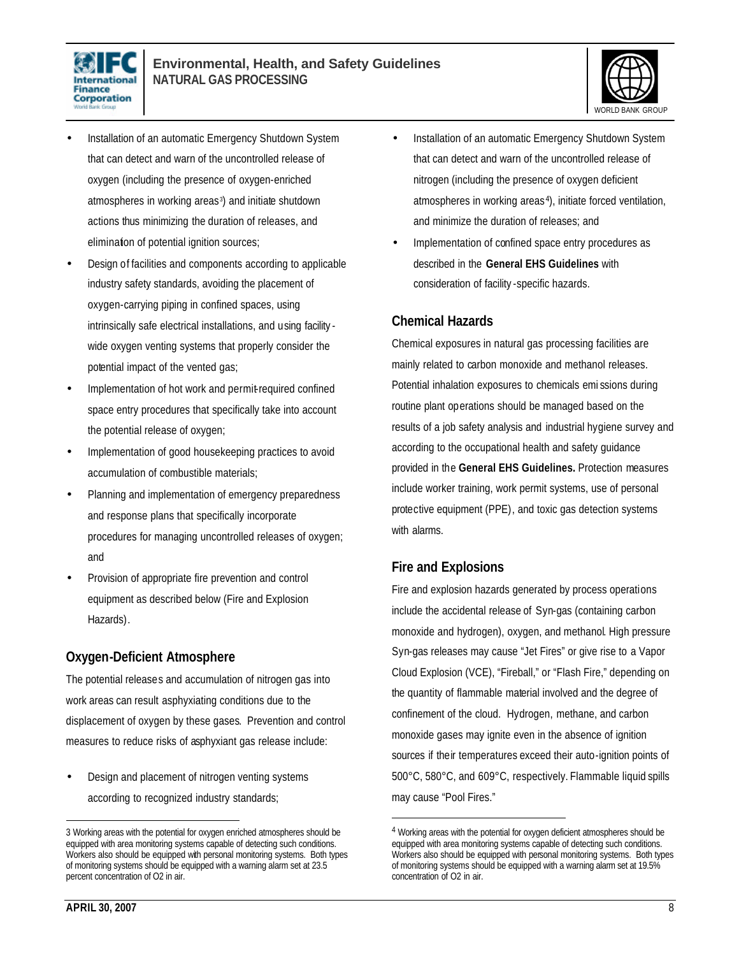



- Installation of an automatic Emergency Shutdown System that can detect and warn of the uncontrolled release of oxygen (including the presence of oxygen-enriched atmospheres in working areas <sup>3</sup> ) and initiate shutdown actions thus minimizing the duration of releases, and elimination of potential ignition sources;
- Design of facilities and components according to applicable industry safety standards, avoiding the placement of oxygen-carrying piping in confined spaces, using intrinsically safe electrical installations, and using facility wide oxygen venting systems that properly consider the potential impact of the vented gas;
- Implementation of hot work and permit-required confined space entry procedures that specifically take into account the potential release of oxygen;
- Implementation of good housekeeping practices to avoid accumulation of combustible materials;
- Planning and implementation of emergency preparedness and response plans that specifically incorporate procedures for managing uncontrolled releases of oxygen; and
- Provision of appropriate fire prevention and control equipment as described below (Fire and Explosion Hazards).

# **Oxygen-Deficient Atmosphere**

The potential releases and accumulation of nitrogen gas into work areas can result asphyxiating conditions due to the displacement of oxygen by these gases. Prevention and control measures to reduce risks of asphyxiant gas release include:

• Design and placement of nitrogen venting systems according to recognized industry standards;

- Installation of an automatic Emergency Shutdown System that can detect and warn of the uncontrolled release of nitrogen (including the presence of oxygen deficient atmospheres in working areas <sup>4</sup>), initiate forced ventilation, and minimize the duration of releases; and
- Implementation of confined space entry procedures as described in the **General EHS Guidelines** with consideration of facility -specific hazards.

### **Chemical Hazards**

Chemical exposures in natural gas processing facilities are mainly related to carbon monoxide and methanol releases. Potential inhalation exposures to chemicals emi ssions during routine plant operations should be managed based on the results of a job safety analysis and industrial hygiene survey and according to the occupational health and safety guidance provided in the **General EHS Guidelines.** Protection measures include worker training, work permit systems, use of personal protective equipment (PPE), and toxic gas detection systems with alarms.

# **Fire and Explosions**

 $\overline{a}$ 

Fire and explosion hazards generated by process operations include the accidental release of Syn-gas (containing carbon monoxide and hydrogen), oxygen, and methanol. High pressure Syn-gas releases may cause "Jet Fires" or give rise to a Vapor Cloud Explosion (VCE), "Fireball," or "Flash Fire," depending on the quantity of flammable material involved and the degree of confinement of the cloud. Hydrogen, methane, and carbon monoxide gases may ignite even in the absence of ignition sources if their temperatures exceed their auto-ignition points of 500°C, 580°C, and 609°C, respectively. Flammable liquid spills may cause "Pool Fires."

<sup>3</sup> Working areas with the potential for oxygen enriched atmospheres should be equipped with area monitoring systems capable of detecting such conditions. Workers also should be equipped with personal monitoring systems. Both types of monitoring systems should be equipped with a warning alarm set at 23.5 percent concentration of O2 in air.

<sup>4</sup> Working areas with the potential for oxygen deficient atmospheres should be equipped with area monitoring systems capable of detecting such conditions. Workers also should be equipped with personal monitoring systems. Both types of monitoring systems should be equipped with a warning alarm set at 19.5% concentration of O2 in air.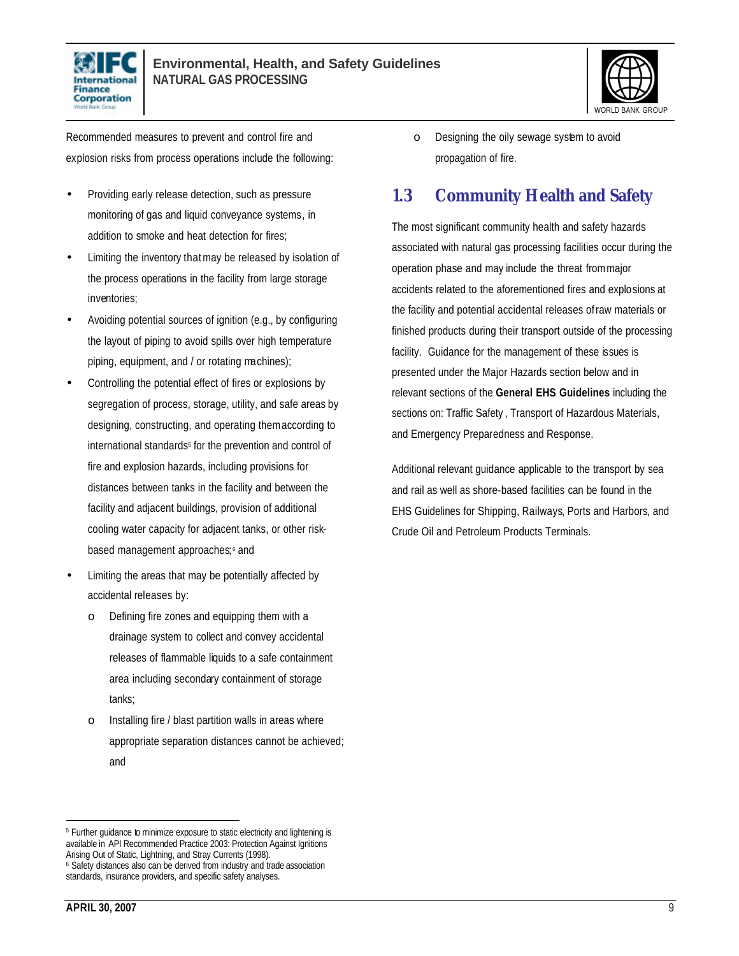



Recommended measures to prevent and control fire and explosion risks from process operations include the following:

- Providing early release detection, such as pressure monitoring of gas and liquid conveyance systems, in addition to smoke and heat detection for fires;
- Limiting the inventory that may be released by isolation of the process operations in the facility from large storage inventories;
- Avoiding potential sources of ignition (e.g., by configuring the layout of piping to avoid spills over high temperature piping, equipment, and / or rotating machines);
- Controlling the potential effect of fires or explosions by segregation of process, storage, utility, and safe areas by designing, constructing, and operating them according to international standards<sup>5</sup> for the prevention and control of fire and explosion hazards, including provisions for distances between tanks in the facility and between the facility and adjacent buildings, provision of additional cooling water capacity for adjacent tanks, or other riskbased management approaches;<sup>6</sup> and
- Limiting the areas that may be potentially affected by accidental releases by:
	- o Defining fire zones and equipping them with a drainage system to collect and convey accidental releases of flammable liquids to a safe containment area including secondary containment of storage tanks;
	- o Installing fire / blast partition walls in areas where appropriate separation distances cannot be achieved; and

o Designing the oily sewage system to avoid propagation of fire.

# **1.3 Community Health and Safety**

The most significant community health and safety hazards associated with natural gas processing facilities occur during the operation phase and may include the threat from major accidents related to the aforementioned fires and explosions at the facility and potential accidental releases of raw materials or finished products during their transport outside of the processing facility. Guidance for the management of these issues is presented under the Major Hazards section below and in relevant sections of the **General EHS Guidelines** including the sections on: Traffic Safety , Transport of Hazardous Materials, and Emergency Preparedness and Response.

Additional relevant guidance applicable to the transport by sea and rail as well as shore-based facilities can be found in the EHS Guidelines for Shipping, Railways, Ports and Harbors, and Crude Oil and Petroleum Products Terminals.

<sup>&</sup>lt;sup>5</sup> Further guidance to minimize exposure to static electricity and lightening is available in API Recommended Practice 2003: Protection Against Ignitions Arising Out of Static, Lightning, and Stray Currents (1998). <sup>6</sup> Safety distances also can be derived from industry and trade association standards, insurance providers, and specific safety analyses.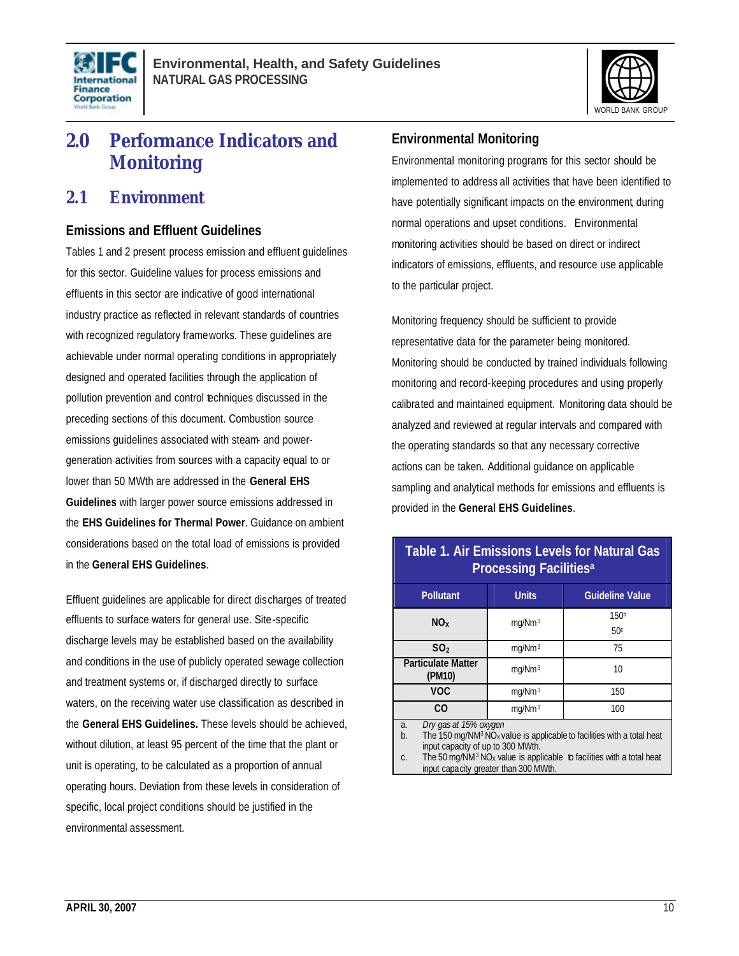



# **2.0 Performance Indicators and Monitoring**

# **2.1 Environment**

### **Emissions and Effluent Guidelines**

Tables 1 and 2 present process emission and effluent guidelines for this sector. Guideline values for process emissions and effluents in this sector are indicative of good international industry practice as reflected in relevant standards of countries with recognized regulatory frameworks. These guidelines are achievable under normal operating conditions in appropriately designed and operated facilities through the application of pollution prevention and control techniques discussed in the preceding sections of this document. Combustion source emissions guidelines associated with steam- and powergeneration activities from sources with a capacity equal to or lower than 50 MWth are addressed in the **General EHS Guidelines** with larger power source emissions addressed in the **EHS Guidelines for Thermal Power**. Guidance on ambient considerations based on the total load of emissions is provided in the **General EHS Guidelines**.

Effluent guidelines are applicable for direct discharges of treated effluents to surface waters for general use. Site-specific discharge levels may be established based on the availability and conditions in the use of publicly operated sewage collection and treatment systems or, if discharged directly to surface waters, on the receiving water use classification as described in the **General EHS Guidelines.** These levels should be achieved, without dilution, at least 95 percent of the time that the plant or unit is operating, to be calculated as a proportion of annual operating hours. Deviation from these levels in consideration of specific, local project conditions should be justified in the environmental assessment.

# **Environmental Monitoring**

Environmental monitoring programs for this sector should be implemented to address all activities that have been identified to have potentially significant impacts on the environment, during normal operations and upset conditions. Environmental monitoring activities should be based on direct or indirect indicators of emissions, effluents, and resource use applicable to the particular project.

Monitoring frequency should be sufficient to provide representative data for the parameter being monitored. Monitoring should be conducted by trained individuals following monitoring and record-keeping procedures and using properly calibrated and maintained equipment. Monitoring data should be analyzed and reviewed at regular intervals and compared with the operating standards so that any necessary corrective actions can be taken. Additional guidance on applicable sampling and analytical methods for emissions and effluents is provided in the **General EHS Guidelines**.

# **Table 1. Air Emissions Levels for Natural Gas Processing Facilities<sup>a</sup>**

| <b>Pollutant</b>                                                                                                                                                                                                                                                                                                         | <b>Units</b>       | <b>Guideline Value</b> |  |
|--------------------------------------------------------------------------------------------------------------------------------------------------------------------------------------------------------------------------------------------------------------------------------------------------------------------------|--------------------|------------------------|--|
| NO <sub>x</sub>                                                                                                                                                                                                                                                                                                          | mq/Mm <sup>3</sup> | 150 <sup>b</sup>       |  |
|                                                                                                                                                                                                                                                                                                                          |                    | 50 <sup>c</sup>        |  |
| SO <sub>2</sub>                                                                                                                                                                                                                                                                                                          | mq/Mm <sup>3</sup> | 75                     |  |
| <b>Particulate Matter</b><br>(PM10)                                                                                                                                                                                                                                                                                      | mq/Mm <sup>3</sup> | 10                     |  |
| <b>VOC</b>                                                                                                                                                                                                                                                                                                               | mq/Mm <sup>3</sup> | 150                    |  |
| C <sub>O</sub>                                                                                                                                                                                                                                                                                                           | mg/Nm <sup>3</sup> | 100                    |  |
| Dry gas at 15% oxygen<br>a.<br>The 150 mg/NM <sup>3</sup> NO <sub>x</sub> value is applicable to facilities with a total heat<br>b.<br>input capacity of up to 300 MWth.<br>The 50 mg/NM <sup>3</sup> NO <sub>x</sub> value is applicable to facilities with a total heat<br>C.<br>input capacity greater than 300 MWth. |                    |                        |  |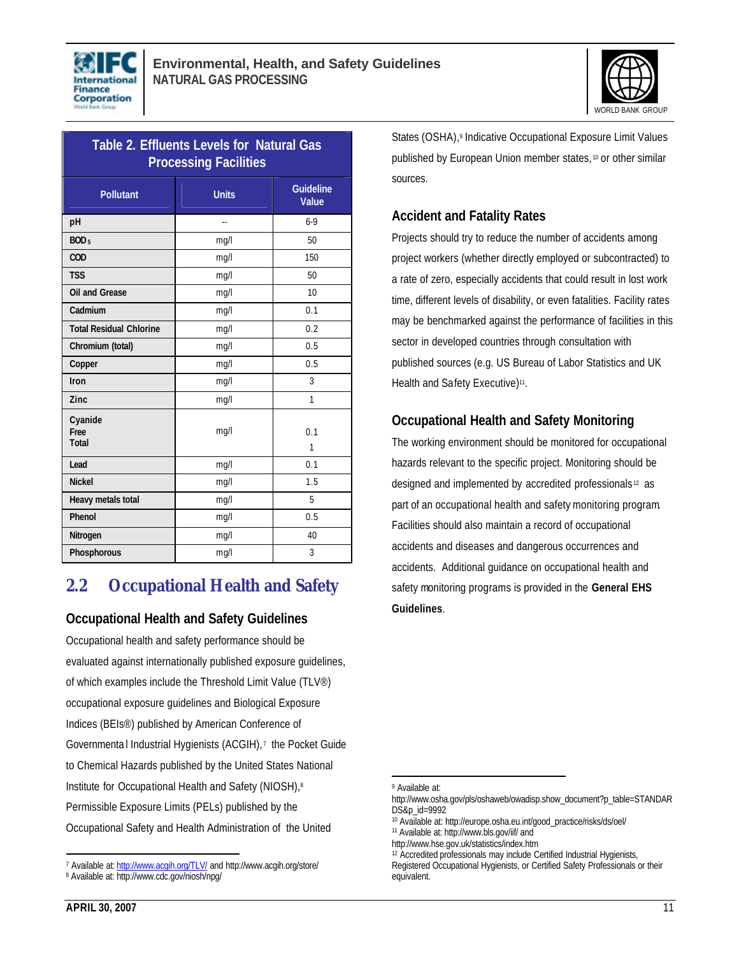



| Table 2. Effluents Levels for Natural Gas<br><b>Processing Facilities</b> |              |                           |  |
|---------------------------------------------------------------------------|--------------|---------------------------|--|
| <b>Pollutant</b>                                                          | <b>Units</b> | <b>Guideline</b><br>Value |  |
| рH                                                                        |              | $6-9$                     |  |
| BOD <sub>5</sub>                                                          | mq/l         | 50                        |  |
| COD                                                                       | mq/l         | 150                       |  |
| <b>TSS</b>                                                                | mg/l         | 50                        |  |
| <b>Oil and Grease</b>                                                     | mq/l         | 10                        |  |
| Cadmium                                                                   | mg/l         | 0.1                       |  |
| <b>Total Residual Chlorine</b>                                            | mq/l         | 0.2                       |  |
| Chromium (total)                                                          | mg/l         | 0.5                       |  |
| Copper                                                                    | mq/l         | 0.5                       |  |
| Iron                                                                      | mg/l         | 3                         |  |
| Zinc                                                                      | mq/l         | 1                         |  |
| Cyanide<br>Free<br><b>Total</b>                                           | mg/l         | 0.1<br>1                  |  |
| Lead                                                                      | mg/l         | 0.1                       |  |
| <b>Nickel</b>                                                             | mq/l         | 1.5                       |  |
| Heavy metals total                                                        | mq/l         | 5                         |  |
| Phenol                                                                    | mq/l         | 0.5                       |  |
| Nitrogen                                                                  | mq/l         | 40                        |  |
| <b>Phosphorous</b>                                                        | mq/1         | 3                         |  |

# **2.2 Occupational Health and Safety**

### **Occupational Health and Safety Guidelines**

Occupational health and safety performance should be evaluated against internationally published exposure guidelines, of which examples include the Threshold Limit Value (TLV®) occupational exposure guidelines and Biological Exposure Indices (BEIs®) published by American Conference of Governmenta I Industrial Hygienists (ACGIH),<sup>7</sup> the Pocket Guide to Chemical Hazards published by the United States National Institute for Occupational Health and Safety (NIOSH),<sup>8</sup> Permissible Exposure Limits (PELs) published by the Occupational Safety and Health Administration of the United

States (OSHA),<sup>9</sup> Indicative Occupational Exposure Limit Values published by European Union member states, <sup>10</sup> or other similar sources.

# **Accident and Fatality Rates**

Projects should try to reduce the number of accidents among project workers (whether directly employed or subcontracted) to a rate of zero, especially accidents that could result in lost work time, different levels of disability, or even fatalities. Facility rates may be benchmarked against the performance of facilities in this sector in developed countries through consultation with published sources (e.g. US Bureau of Labor Statistics and UK Health and Safety Executive)<sup>11</sup>.

# **Occupational Health and Safety Monitoring**

The working environment should be monitored for occupational hazards relevant to the specific project. Monitoring should be designed and implemented by accredited professionals <sup>12</sup> as part of an occupational health and safety monitoring program. Facilities should also maintain a record of occupational accidents and diseases and dangerous occurrences and accidents. Additional guidance on occupational health and safety monitoring programs is provided in the **General EHS Guidelines**.

 $\overline{a}$ <sup>7</sup> Available at: http://www.acgih.org/TLV/ and http://www.acgih.org/store/

<sup>8</sup> Available at: http://www.cdc.gov/niosh/npg/

<sup>9</sup> Available at:

http://www.osha.gov/pls/oshaweb/owadisp.show\_document?p\_table=STANDAR DS&p\_id=9992

<sup>10</sup> Available at: http://europe.osha.eu.int/good\_practice/risks/ds/oel/ <sup>11</sup> Available at: http://www.bls.gov/iif/ and

http://www.hse.gov.uk/statistics/index.htm

<sup>12</sup> Accredited professionals may include Certified Industrial Hygienists,

Registered Occupational Hygienists, or Certified Safety Professionals or their equivalent.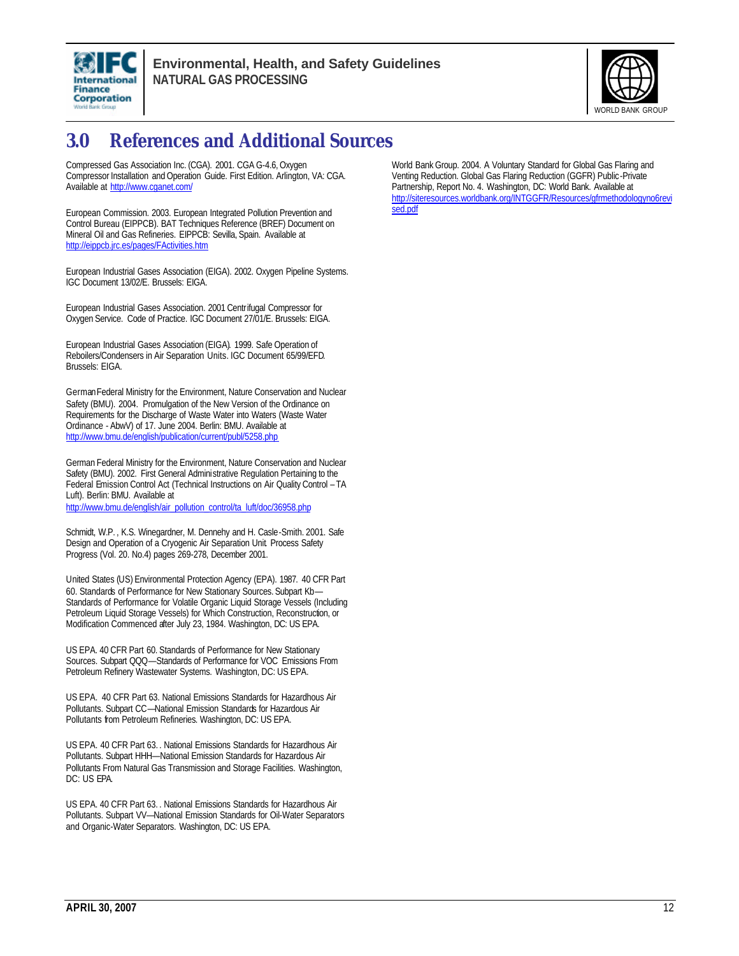



# **3.0 References and Additional Sources**

Compressed Gas Association Inc. (CGA). 2001. CGA G-4.6, Oxygen Compressor Installation and Operation Guide. First Edition. Arlington, VA: CGA. Available at http://www.cganet.com/

European Commission. 2003. European Integrated Pollution Prevention and Control Bureau (EIPPCB). BAT Techniques Reference (BREF) Document on Mineral Oil and Gas Refineries. EIPPCB: Sevilla, Spain. Available at http://eippcb.jrc.es/pages/FActivities.htm

European Industrial Gases Association (EIGA). 2002. Oxygen Pipeline Systems. IGC Document 13/02/E. Brussels: EIGA.

European Industrial Gases Association. 2001 Centrifugal Compressor for Oxygen Service. Code of Practice. IGC Document 27/01/E. Brussels: EIGA.

European Industrial Gases Association (EIGA). 1999. Safe Operation of Reboilers/Condensers in Air Separation Units. IGC Document 65/99/EFD. Brussels: EIGA.

German Federal Ministry for the Environment, Nature Conservation and Nuclear Safety (BMU). 2004. Promulgation of the New Version of the Ordinance on Requirements for the Discharge of Waste Water into Waters (Waste Water Ordinance - AbwV) of 17. June 2004. Berlin: BMU. Available at http://www.bmu.de/english/publication/current/publ/5258.php

German Federal Ministry for the Environment, Nature Conservation and Nuclear Safety (BMU). 2002. First General Administrative Regulation Pertaining to the Federal Emission Control Act (Technical Instructions on Air Quality Control – TA Luft). Berlin: BMU. Available at

http://www.bmu.de/english/air\_pollution\_control/ta\_luft/doc/36958.php

Schmidt, W.P. , K.S. Winegardner, M. Dennehy and H. Casle-Smith. 2001. Safe Design and Operation of a Cryogenic Air Separation Unit. Process Safety Progress (Vol. 20. No.4) pages 269-278, December 2001.

United States (US) Environmental Protection Agency (EPA). 1987. 40 CFR Part 60. Standards of Performance for New Stationary Sources. Subpart Kb— Standards of Performance for Volatile Organic Liquid Storage Vessels (Including Petroleum Liquid Storage Vessels) for Which Construction, Reconstruction, or Modification Commenced after July 23, 1984. Washington, DC: US EPA.

US EPA. 40 CFR Part 60. Standards of Performance for New Stationary Sources. Subpart QQQ—Standards of Performance for VOC Emissions From Petroleum Refinery Wastewater Systems. Washington, DC: US EPA.

US EPA. 40 CFR Part 63. National Emissions Standards for Hazardhous Air Pollutants. Subpart CC—National Emission Standards for Hazardous Air Pollutants from Petroleum Refineries. Washington, DC: US EPA.

US EPA. 40 CFR Part 63. . National Emissions Standards for Hazardhous Air Pollutants. Subpart HHH—National Emission Standards for Hazardous Air Pollutants From Natural Gas Transmission and Storage Facilities. Washington, DC: US EPA.

US EPA. 40 CFR Part 63. . National Emissions Standards for Hazardhous Air Pollutants. Subpart VV—National Emission Standards for Oil-Water Separators and Organic-Water Separators. Washington, DC: US EPA.

World Bank Group. 2004. A Voluntary Standard for Global Gas Flaring and Venting Reduction. Global Gas Flaring Reduction (GGFR) Public-Private Partnership, Report No. 4. Washington, DC: World Bank. Available at http://siteresources.worldbank.org/INTGGFR/Resources/gfrmethodologyno6revi sed.pdf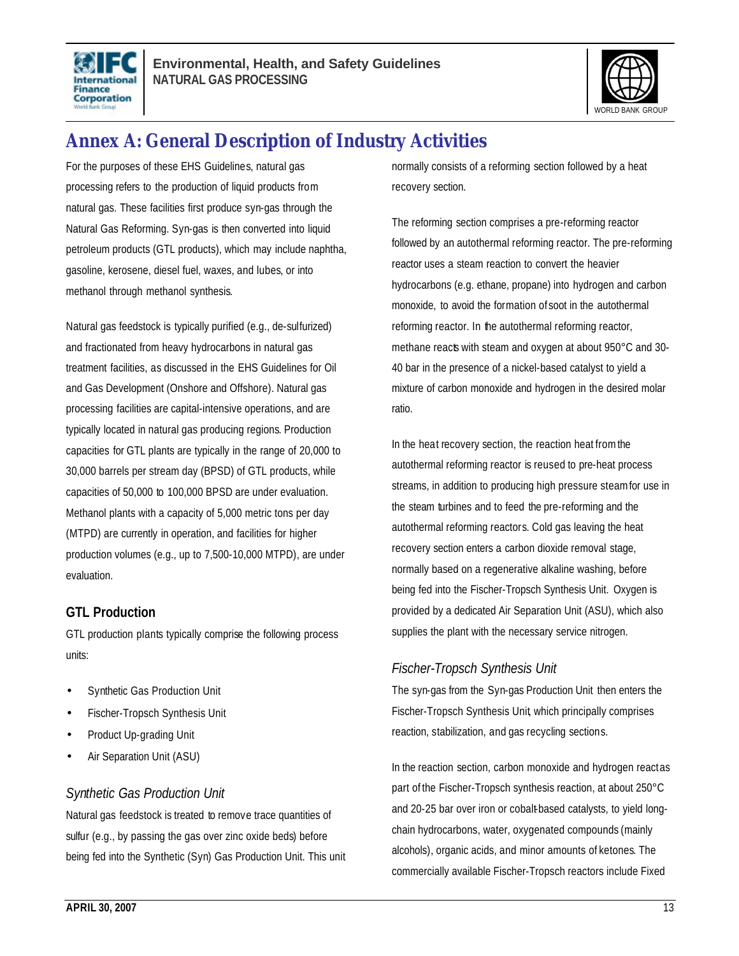



# **Annex A: General Description of Industry Activities**

For the purposes of these EHS Guidelines, natural gas processing refers to the production of liquid products from natural gas. These facilities first produce syn-gas through the Natural Gas Reforming. Syn-gas is then converted into liquid petroleum products (GTL products), which may include naphtha, gasoline, kerosene, diesel fuel, waxes, and lubes, or into methanol through methanol synthesis.

Natural gas feedstock is typically purified (e.g., de-sulfurized) and fractionated from heavy hydrocarbons in natural gas treatment facilities, as discussed in the EHS Guidelines for Oil and Gas Development (Onshore and Offshore). Natural gas processing facilities are capital-intensive operations, and are typically located in natural gas producing regions. Production capacities for GTL plants are typically in the range of 20,000 to 30,000 barrels per stream day (BPSD) of GTL products, while capacities of 50,000 to 100,000 BPSD are under evaluation. Methanol plants with a capacity of 5,000 metric tons per day (MTPD) are currently in operation, and facilities for higher production volumes (e.g., up to 7,500-10,000 MTPD), are under evaluation.

### **GTL Production**

GTL production plants typically comprise the following process units:

- Synthetic Gas Production Unit
- Fischer-Tropsch Synthesis Unit
- Product Up-grading Unit
- Air Separation Unit (ASU)

### *Synthetic Gas Production Unit*

Natural gas feedstock is treated to remove trace quantities of sulfur (e.g., by passing the gas over zinc oxide beds) before being fed into the Synthetic (Syn) Gas Production Unit. This unit normally consists of a reforming section followed by a heat recovery section.

The reforming section comprises a pre-reforming reactor followed by an autothermal reforming reactor. The pre-reforming reactor uses a steam reaction to convert the heavier hydrocarbons (e.g. ethane, propane) into hydrogen and carbon monoxide, to avoid the formation of soot in the autothermal reforming reactor. In the autothermal reforming reactor, methane reacts with steam and oxygen at about 950°C and 30-40 bar in the presence of a nickel-based catalyst to yield a mixture of carbon monoxide and hydrogen in the desired molar ratio.

In the heat recovery section, the reaction heat from the autothermal reforming reactor is reused to pre-heat process streams, in addition to producing high pressure steam for use in the steam turbines and to feed the pre-reforming and the autothermal reforming reactors. Cold gas leaving the heat recovery section enters a carbon dioxide removal stage, normally based on a regenerative alkaline washing, before being fed into the Fischer-Tropsch Synthesis Unit. Oxygen is provided by a dedicated Air Separation Unit (ASU), which also supplies the plant with the necessary service nitrogen.

# *Fischer-Tropsch Synthesis Unit*

The syn-gas from the Syn-gas Production Unit then enters the Fischer-Tropsch Synthesis Unit, which principally comprises reaction, stabilization, and gas recycling sections.

In the reaction section, carbon monoxide and hydrogen react as part of the Fischer-Tropsch synthesis reaction, at about 250°C and 20-25 bar over iron or cobalt-based catalysts, to yield longchain hydrocarbons, water, oxygenated compounds (mainly alcohols), organic acids, and minor amounts of ketones. The commercially available Fischer-Tropsch reactors include Fixed